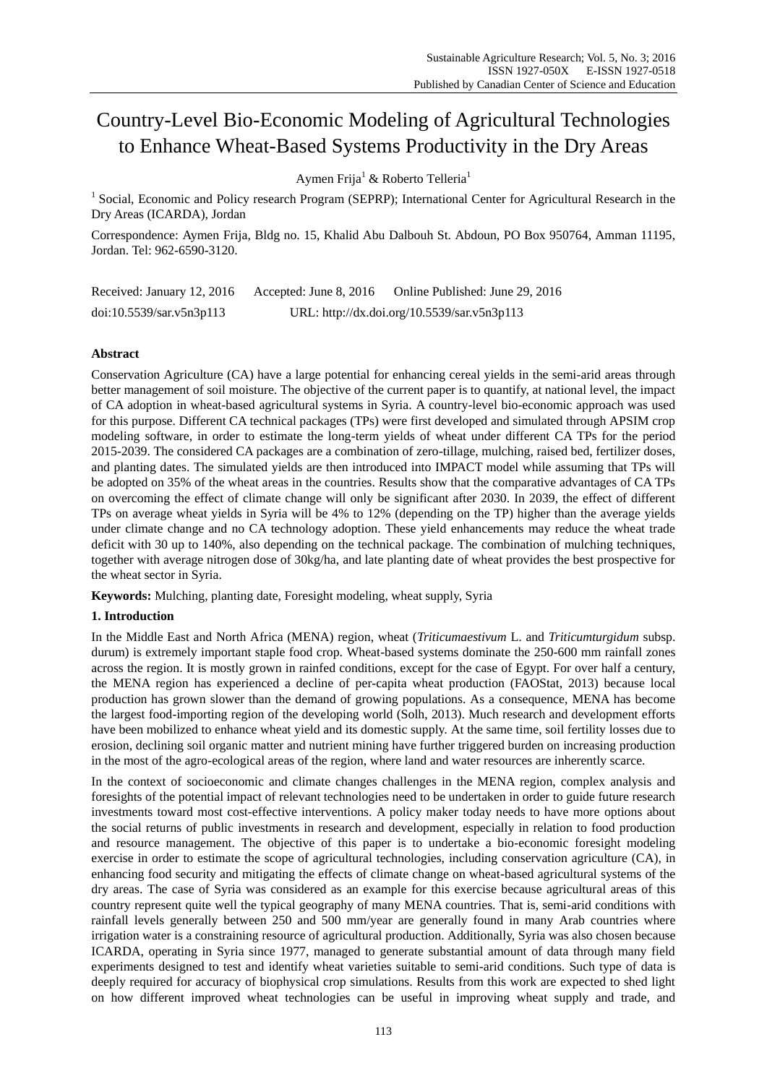# Country-Level Bio-Economic Modeling of Agricultural Technologies to Enhance Wheat-Based Systems Productivity in the Dry Areas

Aymen Frija<sup>1</sup> & Roberto Telleria<sup>1</sup>

<sup>1</sup> Social, Economic and Policy research Program (SEPRP); International Center for Agricultural Research in the Dry Areas (ICARDA), Jordan

Correspondence: Aymen Frija, Bldg no. 15, Khalid Abu Dalbouh St. Abdoun, PO Box 950764, Amman 11195, Jordan. Tel: 962-6590-3120.

Received: January 12, 2016 Accepted: June 8, 2016 Online Published: June 29, 2016 doi:10.5539/sar.v5n3p113 URL: http://dx.doi.org/10.5539/sar.v5n3p113

## **Abstract**

Conservation Agriculture (CA) have a large potential for enhancing cereal yields in the semi-arid areas through better management of soil moisture. The objective of the current paper is to quantify, at national level, the impact of CA adoption in wheat-based agricultural systems in Syria. A country-level bio-economic approach was used for this purpose. Different CA technical packages (TPs) were first developed and simulated through APSIM crop modeling software, in order to estimate the long-term yields of wheat under different CA TPs for the period 2015-2039. The considered CA packages are a combination of zero-tillage, mulching, raised bed, fertilizer doses, and planting dates. The simulated yields are then introduced into IMPACT model while assuming that TPs will be adopted on 35% of the wheat areas in the countries. Results show that the comparative advantages of CA TPs on overcoming the effect of climate change will only be significant after 2030. In 2039, the effect of different TPs on average wheat yields in Syria will be 4% to 12% (depending on the TP) higher than the average yields under climate change and no CA technology adoption. These yield enhancements may reduce the wheat trade deficit with 30 up to 140%, also depending on the technical package. The combination of mulching techniques, together with average nitrogen dose of 30kg/ha, and late planting date of wheat provides the best prospective for the wheat sector in Syria.

**Keywords:** Mulching, planting date, Foresight modeling, wheat supply, Syria

## **1. Introduction**

In the Middle East and North Africa (MENA) region, wheat (*Triticumaestivum* L. and *Triticumturgidum* subsp. durum) is extremely important staple food crop. Wheat-based systems dominate the 250-600 mm rainfall zones across the region. It is mostly grown in rainfed conditions, except for the case of Egypt. For over half a century, the MENA region has experienced a decline of per-capita wheat production (FAOStat, 2013) because local production has grown slower than the demand of growing populations. As a consequence, MENA has become the largest food-importing region of the developing world (Solh, 2013). Much research and development efforts have been mobilized to enhance wheat yield and its domestic supply. At the same time, soil fertility losses due to erosion, declining soil organic matter and nutrient mining have further triggered burden on increasing production in the most of the agro-ecological areas of the region, where land and water resources are inherently scarce.

In the context of socioeconomic and climate changes challenges in the MENA region, complex analysis and foresights of the potential impact of relevant technologies need to be undertaken in order to guide future research investments toward most cost-effective interventions. A policy maker today needs to have more options about the social returns of public investments in research and development, especially in relation to food production and resource management. The objective of this paper is to undertake a bio-economic foresight modeling exercise in order to estimate the scope of agricultural technologies, including conservation agriculture (CA), in enhancing food security and mitigating the effects of climate change on wheat-based agricultural systems of the dry areas. The case of Syria was considered as an example for this exercise because agricultural areas of this country represent quite well the typical geography of many MENA countries. That is, semi-arid conditions with rainfall levels generally between 250 and 500 mm/year are generally found in many Arab countries where irrigation water is a constraining resource of agricultural production. Additionally, Syria was also chosen because ICARDA, operating in Syria since 1977, managed to generate substantial amount of data through many field experiments designed to test and identify wheat varieties suitable to semi-arid conditions. Such type of data is deeply required for accuracy of biophysical crop simulations. Results from this work are expected to shed light on how different improved wheat technologies can be useful in improving wheat supply and trade, and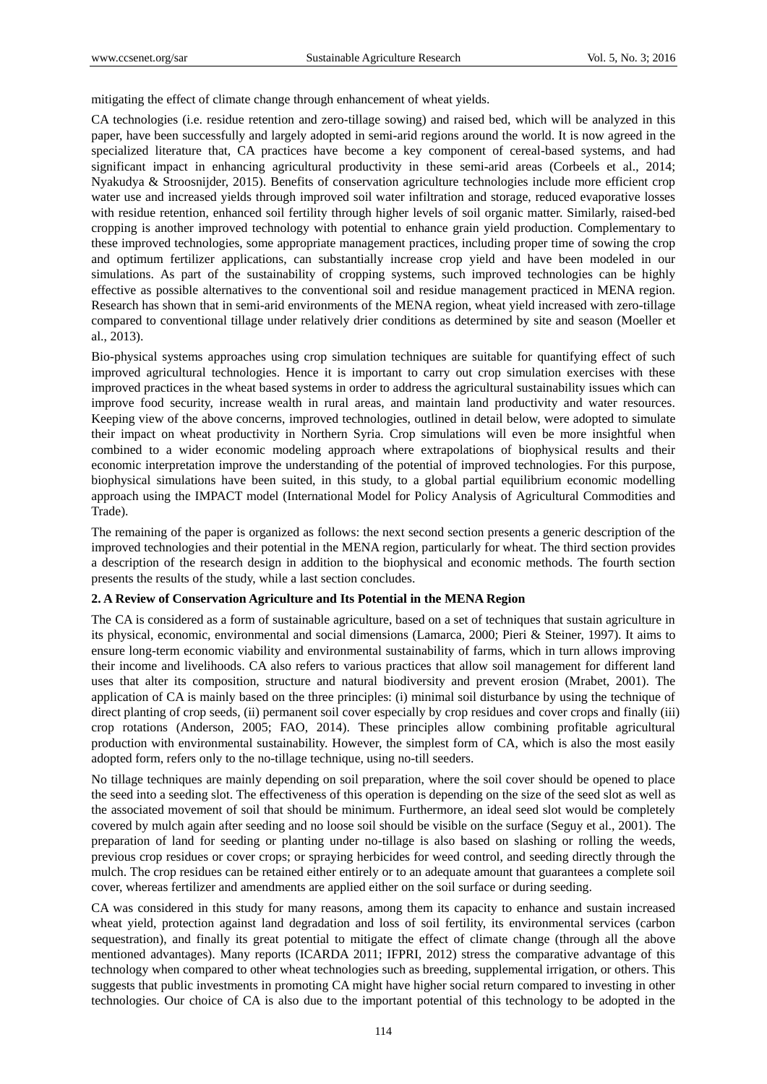mitigating the effect of climate change through enhancement of wheat yields.

CA technologies (i.e. residue retention and zero-tillage sowing) and raised bed, which will be analyzed in this paper, have been successfully and largely adopted in semi-arid regions around the world. It is now agreed in the specialized literature that, CA practices have become a key component of cereal-based systems, and had significant impact in enhancing agricultural productivity in these semi-arid areas (Corbeels et al., 2014; Nyakudya & Stroosnijder, 2015). Benefits of conservation agriculture technologies include more efficient crop water use and increased yields through improved soil water infiltration and storage, reduced evaporative losses with residue retention, enhanced soil fertility through higher levels of soil organic matter. Similarly, raised-bed cropping is another improved technology with potential to enhance grain yield production. Complementary to these improved technologies, some appropriate management practices, including proper time of sowing the crop and optimum fertilizer applications, can substantially increase crop yield and have been modeled in our simulations. As part of the sustainability of cropping systems, such improved technologies can be highly effective as possible alternatives to the conventional soil and residue management practiced in MENA region. Research has shown that in semi-arid environments of the MENA region, wheat yield increased with zero-tillage compared to conventional tillage under relatively drier conditions as determined by site and season (Moeller et al., 2013).

Bio-physical systems approaches using crop simulation techniques are suitable for quantifying effect of such improved agricultural technologies. Hence it is important to carry out crop simulation exercises with these improved practices in the wheat based systems in order to address the agricultural sustainability issues which can improve food security, increase wealth in rural areas, and maintain land productivity and water resources. Keeping view of the above concerns, improved technologies, outlined in detail below, were adopted to simulate their impact on wheat productivity in Northern Syria. Crop simulations will even be more insightful when combined to a wider economic modeling approach where extrapolations of biophysical results and their economic interpretation improve the understanding of the potential of improved technologies. For this purpose, biophysical simulations have been suited, in this study, to a global partial equilibrium economic modelling approach using the IMPACT model (International Model for Policy Analysis of Agricultural Commodities and Trade).

The remaining of the paper is organized as follows: the next second section presents a generic description of the improved technologies and their potential in the MENA region, particularly for wheat. The third section provides a description of the research design in addition to the biophysical and economic methods. The fourth section presents the results of the study, while a last section concludes.

### **2. A Review of Conservation Agriculture and Its Potential in the MENA Region**

The CA is considered as a form of sustainable agriculture, based on a set of techniques that sustain agriculture in its physical, economic, environmental and social dimensions (Lamarca, 2000; Pieri & Steiner, 1997). It aims to ensure long-term economic viability and environmental sustainability of farms, which in turn allows improving their income and livelihoods. CA also refers to various practices that allow soil management for different land uses that alter its composition, structure and natural biodiversity and prevent erosion (Mrabet, 2001). The application of CA is mainly based on the three principles: (i) minimal soil disturbance by using the technique of direct planting of crop seeds, (ii) permanent soil cover especially by crop residues and cover crops and finally (iii) crop rotations (Anderson, 2005; FAO, 2014). These principles allow combining profitable agricultural production with environmental sustainability. However, the simplest form of CA, which is also the most easily adopted form, refers only to the no-tillage technique, using no-till seeders.

No tillage techniques are mainly depending on soil preparation, where the soil cover should be opened to place the seed into a seeding slot. The effectiveness of this operation is depending on the size of the seed slot as well as the associated movement of soil that should be minimum. Furthermore, an ideal seed slot would be completely covered by mulch again after seeding and no loose soil should be visible on the surface (Seguy et al., 2001). The preparation of land for seeding or planting under no-tillage is also based on slashing or rolling the weeds, previous crop residues or cover crops; or spraying herbicides for weed control, and seeding directly through the mulch. The crop residues can be retained either entirely or to an adequate amount that guarantees a complete soil cover, whereas fertilizer and amendments are applied either on the soil surface or during seeding.

CA was considered in this study for many reasons, among them its capacity to enhance and sustain increased wheat yield, protection against land degradation and loss of soil fertility, its environmental services (carbon sequestration), and finally its great potential to mitigate the effect of climate change (through all the above mentioned advantages). Many reports (ICARDA 2011; IFPRI, 2012) stress the comparative advantage of this technology when compared to other wheat technologies such as breeding, supplemental irrigation, or others. This suggests that public investments in promoting CA might have higher social return compared to investing in other technologies. Our choice of CA is also due to the important potential of this technology to be adopted in the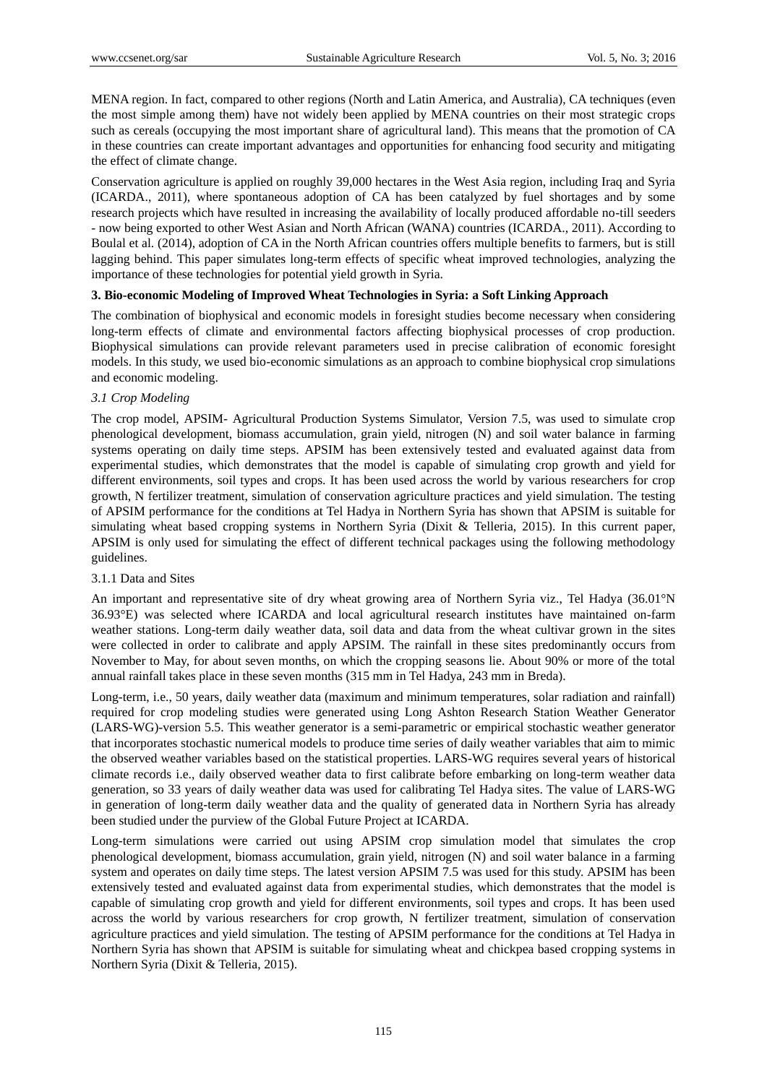MENA region. In fact, compared to other regions (North and Latin America, and Australia), CA techniques (even the most simple among them) have not widely been applied by MENA countries on their most strategic crops such as cereals (occupying the most important share of agricultural land). This means that the promotion of CA in these countries can create important advantages and opportunities for enhancing food security and mitigating the effect of climate change.

Conservation agriculture is applied on roughly 39,000 hectares in the West Asia region, including Iraq and Syria (ICARDA., 2011), where spontaneous adoption of CA has been catalyzed by fuel shortages and by some research projects which have resulted in increasing the availability of locally produced affordable no-till seeders - now being exported to other West Asian and North African (WANA) countries (ICARDA., 2011). According to Boulal et al. (2014), adoption of CA in the North African countries offers multiple benefits to farmers, but is still lagging behind. This paper simulates long-term effects of specific wheat improved technologies, analyzing the importance of these technologies for potential yield growth in Syria.

### **3. Bio-economic Modeling of Improved Wheat Technologies in Syria: a Soft Linking Approach**

The combination of biophysical and economic models in foresight studies become necessary when considering long-term effects of climate and environmental factors affecting biophysical processes of crop production. Biophysical simulations can provide relevant parameters used in precise calibration of economic foresight models. In this study, we used bio-economic simulations as an approach to combine biophysical crop simulations and economic modeling.

### *3.1 Crop Modeling*

The crop model, APSIM- Agricultural Production Systems Simulator, Version 7.5, was used to simulate crop phenological development, biomass accumulation, grain yield, nitrogen (N) and soil water balance in farming systems operating on daily time steps. APSIM has been extensively tested and evaluated against data from experimental studies, which demonstrates that the model is capable of simulating crop growth and yield for different environments, soil types and crops. It has been used across the world by various researchers for crop growth, N fertilizer treatment, simulation of conservation agriculture practices and yield simulation. The testing of APSIM performance for the conditions at Tel Hadya in Northern Syria has shown that APSIM is suitable for simulating wheat based cropping systems in Northern Syria (Dixit & Telleria, 2015). In this current paper, APSIM is only used for simulating the effect of different technical packages using the following methodology guidelines.

### 3.1.1 Data and Sites

An important and representative site of dry wheat growing area of Northern Syria viz., Tel Hadya (36.01°N) 36.93°E) was selected where ICARDA and local agricultural research institutes have maintained on-farm weather stations. Long-term daily weather data, soil data and data from the wheat cultivar grown in the sites were collected in order to calibrate and apply APSIM. The rainfall in these sites predominantly occurs from November to May, for about seven months, on which the cropping seasons lie. About 90% or more of the total annual rainfall takes place in these seven months (315 mm in Tel Hadya, 243 mm in Breda).

Long-term, i.e., 50 years, daily weather data (maximum and minimum temperatures, solar radiation and rainfall) required for crop modeling studies were generated using Long Ashton Research Station Weather Generator (LARS-WG)-version 5.5. This weather generator is a semi-parametric or empirical stochastic weather generator that incorporates stochastic numerical models to produce time series of daily weather variables that aim to mimic the observed weather variables based on the statistical properties. LARS-WG requires several years of historical climate records i.e., daily observed weather data to first calibrate before embarking on long-term weather data generation, so 33 years of daily weather data was used for calibrating Tel Hadya sites. The value of LARS-WG in generation of long-term daily weather data and the quality of generated data in Northern Syria has already been studied under the purview of the Global Future Project at ICARDA.

Long-term simulations were carried out using APSIM crop simulation model that simulates the crop phenological development, biomass accumulation, grain yield, nitrogen (N) and soil water balance in a farming system and operates on daily time steps. The latest version APSIM 7.5 was used for this study. APSIM has been extensively tested and evaluated against data from experimental studies, which demonstrates that the model is capable of simulating crop growth and yield for different environments, soil types and crops. It has been used across the world by various researchers for crop growth, N fertilizer treatment, simulation of conservation agriculture practices and yield simulation. The testing of APSIM performance for the conditions at Tel Hadya in Northern Syria has shown that APSIM is suitable for simulating wheat and chickpea based cropping systems in Northern Syria (Dixit & Telleria, 2015).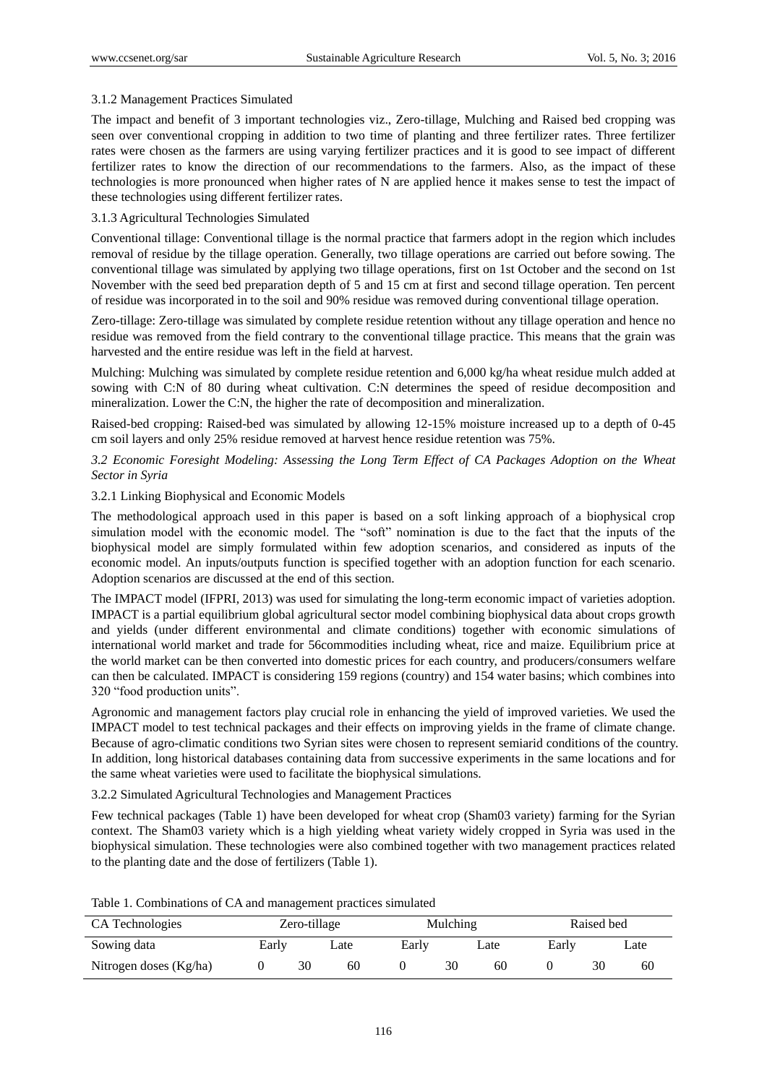## 3.1.2 Management Practices Simulated

The impact and benefit of 3 important technologies viz., Zero-tillage, Mulching and Raised bed cropping was seen over conventional cropping in addition to two time of planting and three fertilizer rates. Three fertilizer rates were chosen as the farmers are using varying fertilizer practices and it is good to see impact of different fertilizer rates to know the direction of our recommendations to the farmers. Also, as the impact of these technologies is more pronounced when higher rates of N are applied hence it makes sense to test the impact of these technologies using different fertilizer rates.

## 3.1.3 Agricultural Technologies Simulated

Conventional tillage: Conventional tillage is the normal practice that farmers adopt in the region which includes removal of residue by the tillage operation. Generally, two tillage operations are carried out before sowing. The conventional tillage was simulated by applying two tillage operations, first on 1st October and the second on 1st November with the seed bed preparation depth of 5 and 15 cm at first and second tillage operation. Ten percent of residue was incorporated in to the soil and 90% residue was removed during conventional tillage operation.

Zero-tillage: Zero-tillage was simulated by complete residue retention without any tillage operation and hence no residue was removed from the field contrary to the conventional tillage practice. This means that the grain was harvested and the entire residue was left in the field at harvest.

Mulching: Mulching was simulated by complete residue retention and 6,000 kg/ha wheat residue mulch added at sowing with C:N of 80 during wheat cultivation. C:N determines the speed of residue decomposition and mineralization. Lower the C:N, the higher the rate of decomposition and mineralization.

Raised-bed cropping: Raised-bed was simulated by allowing 12-15% moisture increased up to a depth of 0-45 cm soil layers and only 25% residue removed at harvest hence residue retention was 75%.

## *3.2 Economic Foresight Modeling: Assessing the Long Term Effect of CA Packages Adoption on the Wheat Sector in Syria*

## 3.2.1 Linking Biophysical and Economic Models

The methodological approach used in this paper is based on a soft linking approach of a biophysical crop simulation model with the economic model. The "soft" nomination is due to the fact that the inputs of the biophysical model are simply formulated within few adoption scenarios, and considered as inputs of the economic model. An inputs/outputs function is specified together with an adoption function for each scenario. Adoption scenarios are discussed at the end of this section.

The IMPACT model (IFPRI, 2013) was used for simulating the long-term economic impact of varieties adoption. IMPACT is a partial equilibrium global agricultural sector model combining biophysical data about crops growth and yields (under different environmental and climate conditions) together with economic simulations of international world market and trade for 56commodities including wheat, rice and maize. Equilibrium price at the world market can be then converted into domestic prices for each country, and producers/consumers welfare can then be calculated. IMPACT is considering 159 regions (country) and 154 water basins; which combines into 320 "food production units".

Agronomic and management factors play crucial role in enhancing the yield of improved varieties. We used the IMPACT model to test technical packages and their effects on improving yields in the frame of climate change. Because of agro-climatic conditions two Syrian sites were chosen to represent semiarid conditions of the country. In addition, long historical databases containing data from successive experiments in the same locations and for the same wheat varieties were used to facilitate the biophysical simulations.

3.2.2 Simulated Agricultural Technologies and Management Practices

Few technical packages (Table 1) have been developed for wheat crop (Sham03 variety) farming for the Syrian context. The Sham03 variety which is a high yielding wheat variety widely cropped in Syria was used in the biophysical simulation. These technologies were also combined together with two management practices related to the planting date and the dose of fertilizers (Table 1).

| CA Technologies        | Zero-tillage |    |      | Mulching |    |      | Raised bed |    |      |
|------------------------|--------------|----|------|----------|----|------|------------|----|------|
| Sowing data            | Early        |    | ∟ate | Early    |    | Late | Early      |    | Late |
| Nitrogen doses (Kg/ha) |              | 30 | 60   |          | 30 | 60   |            | 30 | 60   |

Table 1. Combinations of CA and management practices simulated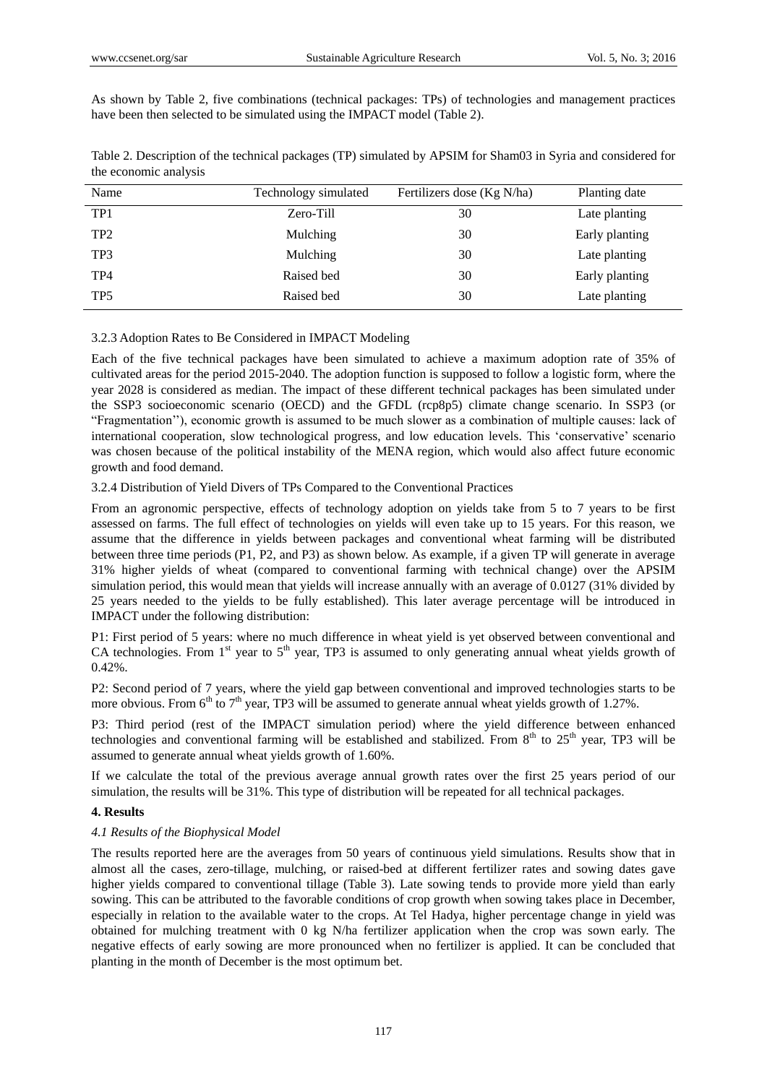As shown by Table 2, five combinations (technical packages: TPs) of technologies and management practices have been then selected to be simulated using the IMPACT model (Table 2).

| Name            | Technology simulated | Fertilizers dose (Kg N/ha) | Planting date  |
|-----------------|----------------------|----------------------------|----------------|
| TP1             | Zero-Till            | 30                         | Late planting  |
| TP <sub>2</sub> | Mulching             | 30                         | Early planting |
| TP3             | Mulching             | 30                         | Late planting  |
| TP4             | Raised bed           | 30                         | Early planting |
| TP <sub>5</sub> | Raised bed           | 30                         | Late planting  |

Table 2. Description of the technical packages (TP) simulated by APSIM for Sham03 in Syria and considered for the economic analysis

## 3.2.3 Adoption Rates to Be Considered in IMPACT Modeling

Each of the five technical packages have been simulated to achieve a maximum adoption rate of 35% of cultivated areas for the period 2015-2040. The adoption function is supposed to follow a logistic form, where the year 2028 is considered as median. The impact of these different technical packages has been simulated under the SSP3 socioeconomic scenario (OECD) and the GFDL (rcp8p5) climate change scenario. In SSP3 (or "Fragmentation""), economic growth is assumed to be much slower as a combination of multiple causes: lack of international cooperation, slow technological progress, and low education levels. This "conservative" scenario was chosen because of the political instability of the MENA region, which would also affect future economic growth and food demand.

## 3.2.4 Distribution of Yield Divers of TPs Compared to the Conventional Practices

From an agronomic perspective, effects of technology adoption on yields take from 5 to 7 years to be first assessed on farms. The full effect of technologies on yields will even take up to 15 years. For this reason, we assume that the difference in yields between packages and conventional wheat farming will be distributed between three time periods (P1, P2, and P3) as shown below. As example, if a given TP will generate in average 31% higher yields of wheat (compared to conventional farming with technical change) over the APSIM simulation period, this would mean that yields will increase annually with an average of 0.0127 (31% divided by 25 years needed to the yields to be fully established). This later average percentage will be introduced in IMPACT under the following distribution:

P1: First period of 5 years: where no much difference in wheat yield is yet observed between conventional and CA technologies. From  $1<sup>st</sup>$  year to  $5<sup>th</sup>$  year, TP3 is assumed to only generating annual wheat yields growth of 0.42%.

P2: Second period of 7 years, where the yield gap between conventional and improved technologies starts to be more obvious. From  $6<sup>th</sup>$  to  $7<sup>th</sup>$  year, TP3 will be assumed to generate annual wheat yields growth of 1.27%.

P3: Third period (rest of the IMPACT simulation period) where the yield difference between enhanced technologies and conventional farming will be established and stabilized. From 8<sup>th</sup> to 25<sup>th</sup> vear, TP3 will be assumed to generate annual wheat yields growth of 1.60%.

If we calculate the total of the previous average annual growth rates over the first 25 years period of our simulation, the results will be 31%. This type of distribution will be repeated for all technical packages.

## **4. Results**

### *4.1 Results of the Biophysical Model*

The results reported here are the averages from 50 years of continuous yield simulations. Results show that in almost all the cases, zero-tillage, mulching, or raised-bed at different fertilizer rates and sowing dates gave higher yields compared to conventional tillage (Table 3). Late sowing tends to provide more yield than early sowing. This can be attributed to the favorable conditions of crop growth when sowing takes place in December, especially in relation to the available water to the crops. At Tel Hadya, higher percentage change in yield was obtained for mulching treatment with 0 kg N/ha fertilizer application when the crop was sown early. The negative effects of early sowing are more pronounced when no fertilizer is applied. It can be concluded that planting in the month of December is the most optimum bet.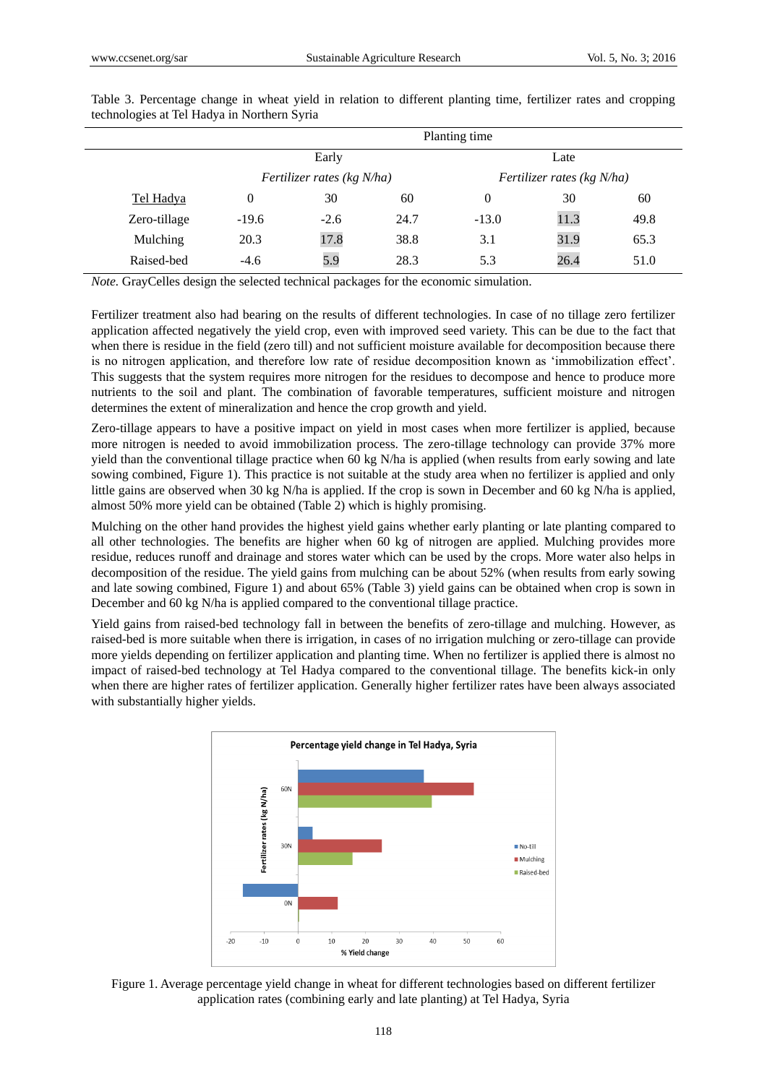|              | Planting time |                            |      |                            |      |      |  |
|--------------|---------------|----------------------------|------|----------------------------|------|------|--|
|              |               | Early                      |      |                            |      |      |  |
|              |               | Fertilizer rates (kg N/ha) |      | Fertilizer rates (kg N/ha) |      |      |  |
| Tel Hadya    | 0             | 30                         | 60   | 0                          | 30   | 60   |  |
| Zero-tillage | $-19.6$       | $-2.6$                     | 24.7 | $-13.0$                    | 11.3 | 49.8 |  |
| Mulching     | 20.3          | 17.8                       | 38.8 | 3.1                        | 31.9 | 65.3 |  |
| Raised-bed   | $-4.6$        | 5.9                        | 28.3 | 5.3                        | 26.4 | 51.0 |  |

Table 3. Percentage change in wheat yield in relation to different planting time, fertilizer rates and cropping technologies at Tel Hadya in Northern Syria

*Note.* GrayCelles design the selected technical packages for the economic simulation.

Fertilizer treatment also had bearing on the results of different technologies. In case of no tillage zero fertilizer application affected negatively the yield crop, even with improved seed variety. This can be due to the fact that when there is residue in the field (zero till) and not sufficient moisture available for decomposition because there is no nitrogen application, and therefore low rate of residue decomposition known as "immobilization effect". This suggests that the system requires more nitrogen for the residues to decompose and hence to produce more nutrients to the soil and plant. The combination of favorable temperatures, sufficient moisture and nitrogen determines the extent of mineralization and hence the crop growth and yield.

Zero-tillage appears to have a positive impact on yield in most cases when more fertilizer is applied, because more nitrogen is needed to avoid immobilization process. The zero-tillage technology can provide 37% more yield than the conventional tillage practice when 60 kg N/ha is applied (when results from early sowing and late sowing combined, Figure 1). This practice is not suitable at the study area when no fertilizer is applied and only little gains are observed when 30 kg N/ha is applied. If the crop is sown in December and 60 kg N/ha is applied, almost 50% more yield can be obtained (Table 2) which is highly promising.

Mulching on the other hand provides the highest yield gains whether early planting or late planting compared to all other technologies. The benefits are higher when 60 kg of nitrogen are applied. Mulching provides more residue, reduces runoff and drainage and stores water which can be used by the crops. More water also helps in decomposition of the residue. The yield gains from mulching can be about 52% (when results from early sowing and late sowing combined, Figure 1) and about 65% (Table 3) yield gains can be obtained when crop is sown in December and 60 kg N/ha is applied compared to the conventional tillage practice.

Yield gains from raised-bed technology fall in between the benefits of zero-tillage and mulching. However, as raised-bed is more suitable when there is irrigation, in cases of no irrigation mulching or zero-tillage can provide more yields depending on fertilizer application and planting time. When no fertilizer is applied there is almost no impact of raised-bed technology at Tel Hadya compared to the conventional tillage. The benefits kick-in only when there are higher rates of fertilizer application. Generally higher fertilizer rates have been always associated with substantially higher yields.



Figure 1. Average percentage yield change in wheat for different technologies based on different fertilizer application rates (combining early and late planting) at Tel Hadya, Syria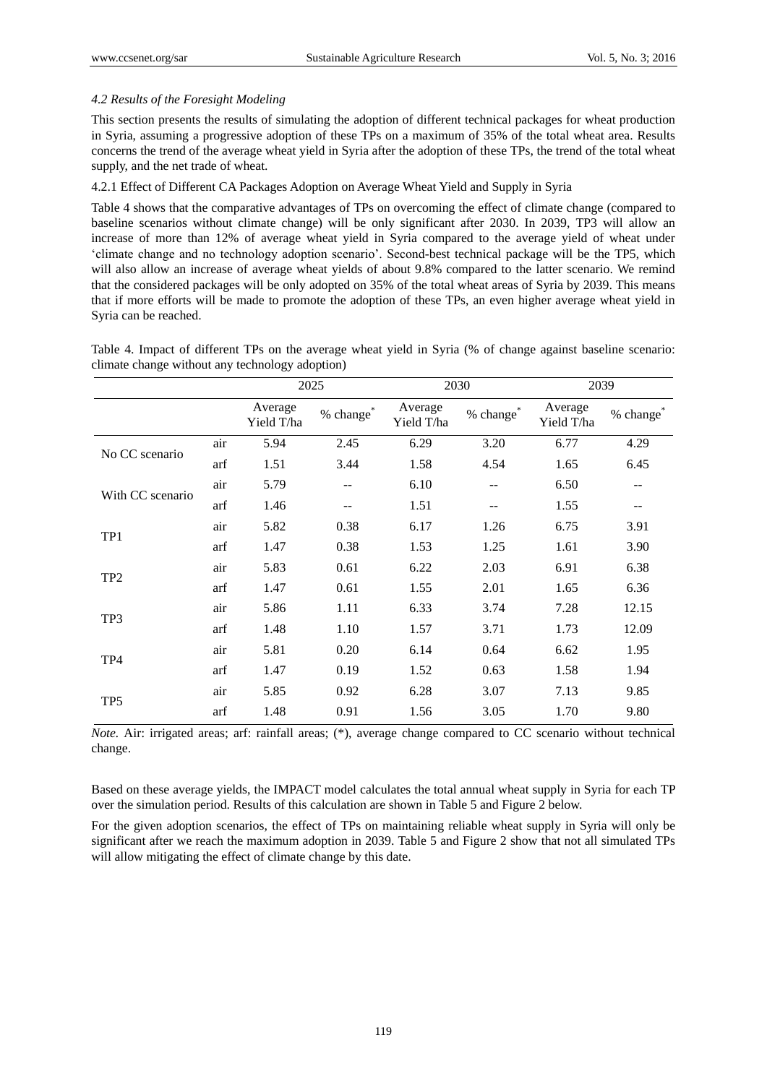## *4.2 Results of the Foresight Modeling*

This section presents the results of simulating the adoption of different technical packages for wheat production in Syria, assuming a progressive adoption of these TPs on a maximum of 35% of the total wheat area. Results concerns the trend of the average wheat yield in Syria after the adoption of these TPs, the trend of the total wheat supply, and the net trade of wheat.

## 4.2.1 Effect of Different CA Packages Adoption on Average Wheat Yield and Supply in Syria

Table 4 shows that the comparative advantages of TPs on overcoming the effect of climate change (compared to baseline scenarios without climate change) will be only significant after 2030. In 2039, TP3 will allow an increase of more than 12% of average wheat yield in Syria compared to the average yield of wheat under "climate change and no technology adoption scenario". Second-best technical package will be the TP5, which will also allow an increase of average wheat yields of about 9.8% compared to the latter scenario. We remind that the considered packages will be only adopted on 35% of the total wheat areas of Syria by 2039. This means that if more efforts will be made to promote the adoption of these TPs, an even higher average wheat yield in Syria can be reached.

Table 4. Impact of different TPs on the average wheat yield in Syria (% of change against baseline scenario: climate change without any technology adoption)

|                  |     | 2025                  |                       |                       | 2030             | 2039                  |                       |
|------------------|-----|-----------------------|-----------------------|-----------------------|------------------|-----------------------|-----------------------|
|                  |     | Average<br>Yield T/ha | % change <sup>®</sup> | Average<br>Yield T/ha | $\%$ change $^*$ | Average<br>Yield T/ha | % change <sup>®</sup> |
|                  | air | 5.94                  | 2.45                  | 6.29                  | 3.20             | 6.77                  | 4.29                  |
| No CC scenario   | arf | 1.51                  | 3.44                  | 1.58                  | 4.54             | 1.65                  | 6.45                  |
|                  | air | 5.79                  | --                    | 6.10                  | --               | 6.50                  |                       |
| With CC scenario | arf | 1.46                  | $\qquad \qquad -$     | 1.51                  | --               | 1.55                  | $- -$                 |
|                  | air | 5.82                  | 0.38                  | 6.17                  | 1.26             | 6.75                  | 3.91                  |
| TP1              | arf | 1.47                  | 0.38                  | 1.53                  | 1.25             | 1.61                  | 3.90                  |
| TP <sub>2</sub>  | air | 5.83                  | 0.61                  | 6.22                  | 2.03             | 6.91                  | 6.38                  |
|                  | arf | 1.47                  | 0.61                  | 1.55                  | 2.01             | 1.65                  | 6.36                  |
| TP3              | air | 5.86                  | 1.11                  | 6.33                  | 3.74             | 7.28                  | 12.15                 |
|                  | arf | 1.48                  | 1.10                  | 1.57                  | 3.71             | 1.73                  | 12.09                 |
|                  | air | 5.81                  | 0.20                  | 6.14                  | 0.64             | 6.62                  | 1.95                  |
| TP4              | arf | 1.47                  | 0.19                  | 1.52                  | 0.63             | 1.58                  | 1.94                  |
| TP5              | air | 5.85                  | 0.92                  | 6.28                  | 3.07             | 7.13                  | 9.85                  |
|                  | arf | 1.48                  | 0.91                  | 1.56                  | 3.05             | 1.70                  | 9.80                  |

*Note.* Air: irrigated areas; arf: rainfall areas; (\*), average change compared to CC scenario without technical change.

Based on these average yields, the IMPACT model calculates the total annual wheat supply in Syria for each TP over the simulation period. Results of this calculation are shown in Table 5 and Figure 2 below.

For the given adoption scenarios, the effect of TPs on maintaining reliable wheat supply in Syria will only be significant after we reach the maximum adoption in 2039. Table 5 and Figure 2 show that not all simulated TPs will allow mitigating the effect of climate change by this date.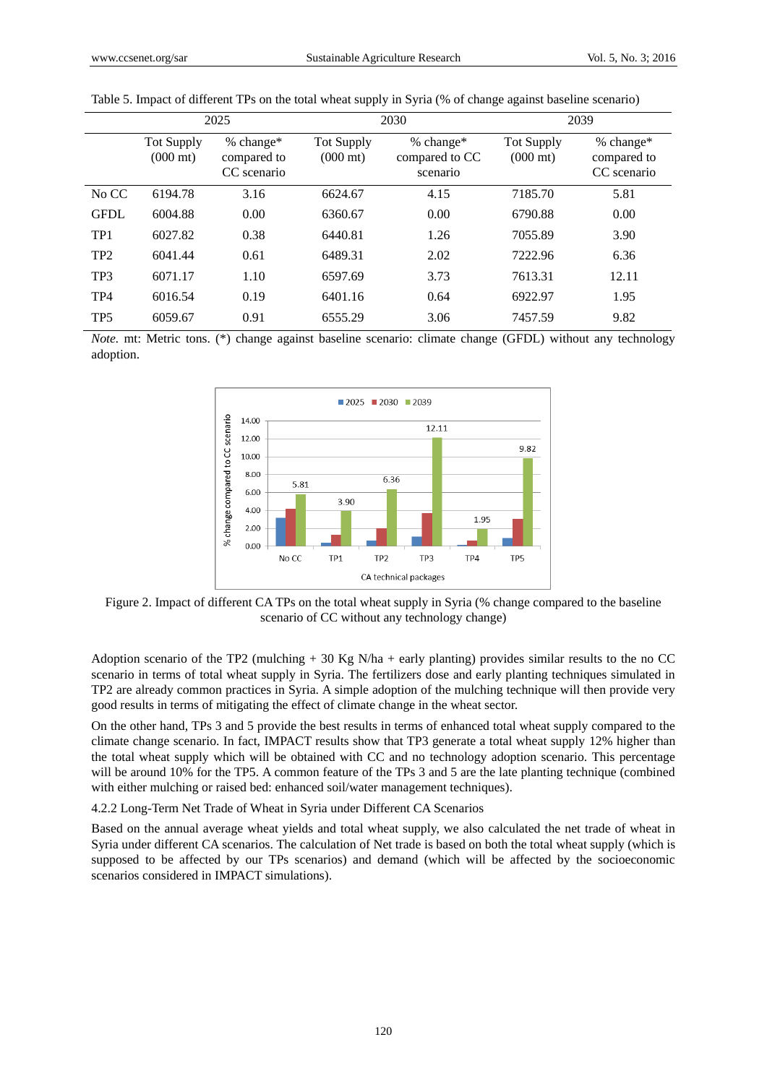|                 | 2025                                    |                                           |                                         | 2030                                    | 2039                                    |                                         |  |
|-----------------|-----------------------------------------|-------------------------------------------|-----------------------------------------|-----------------------------------------|-----------------------------------------|-----------------------------------------|--|
|                 | <b>Tot Supply</b><br>$(000 \text{ mt})$ | $%$ change*<br>compared to<br>CC scenario | <b>Tot Supply</b><br>$(000 \text{ mt})$ | % change*<br>compared to CC<br>scenario | <b>Tot Supply</b><br>$(000 \text{ mt})$ | % change*<br>compared to<br>CC scenario |  |
| No CC           | 6194.78                                 | 3.16                                      | 6624.67                                 | 4.15                                    | 7185.70                                 | 5.81                                    |  |
| <b>GFDL</b>     | 6004.88                                 | 0.00                                      | 6360.67                                 | 0.00                                    | 6790.88                                 | 0.00                                    |  |
| TP <sub>1</sub> | 6027.82                                 | 0.38                                      | 6440.81                                 | 1.26                                    | 7055.89                                 | 3.90                                    |  |
| TP <sub>2</sub> | 6041.44                                 | 0.61                                      | 6489.31                                 | 2.02                                    | 7222.96                                 | 6.36                                    |  |
| TP3             | 6071.17                                 | 1.10                                      | 6597.69                                 | 3.73                                    | 7613.31                                 | 12.11                                   |  |
| TP <sub>4</sub> | 6016.54                                 | 0.19                                      | 6401.16                                 | 0.64                                    | 6922.97                                 | 1.95                                    |  |
| TP <sub>5</sub> | 6059.67                                 | 0.91                                      | 6555.29                                 | 3.06                                    | 7457.59                                 | 9.82                                    |  |

Table 5. Impact of different TPs on the total wheat supply in Syria (% of change against baseline scenario)

*Note.* mt: Metric tons. (\*) change against baseline scenario: climate change (GFDL) without any technology adoption.



Figure 2. Impact of different CA TPs on the total wheat supply in Syria (% change compared to the baseline scenario of CC without any technology change)

Adoption scenario of the TP2 (mulching + 30 Kg N/ha + early planting) provides similar results to the no CC scenario in terms of total wheat supply in Syria. The fertilizers dose and early planting techniques simulated in TP2 are already common practices in Syria. A simple adoption of the mulching technique will then provide very good results in terms of mitigating the effect of climate change in the wheat sector.

On the other hand, TPs 3 and 5 provide the best results in terms of enhanced total wheat supply compared to the climate change scenario. In fact, IMPACT results show that TP3 generate a total wheat supply 12% higher than the total wheat supply which will be obtained with CC and no technology adoption scenario. This percentage will be around 10% for the TP5. A common feature of the TPs 3 and 5 are the late planting technique (combined with either mulching or raised bed: enhanced soil/water management techniques).

4.2.2 Long-Term Net Trade of Wheat in Syria under Different CA Scenarios

Based on the annual average wheat yields and total wheat supply, we also calculated the net trade of wheat in Syria under different CA scenarios. The calculation of Net trade is based on both the total wheat supply (which is supposed to be affected by our TPs scenarios) and demand (which will be affected by the socioeconomic scenarios considered in IMPACT simulations).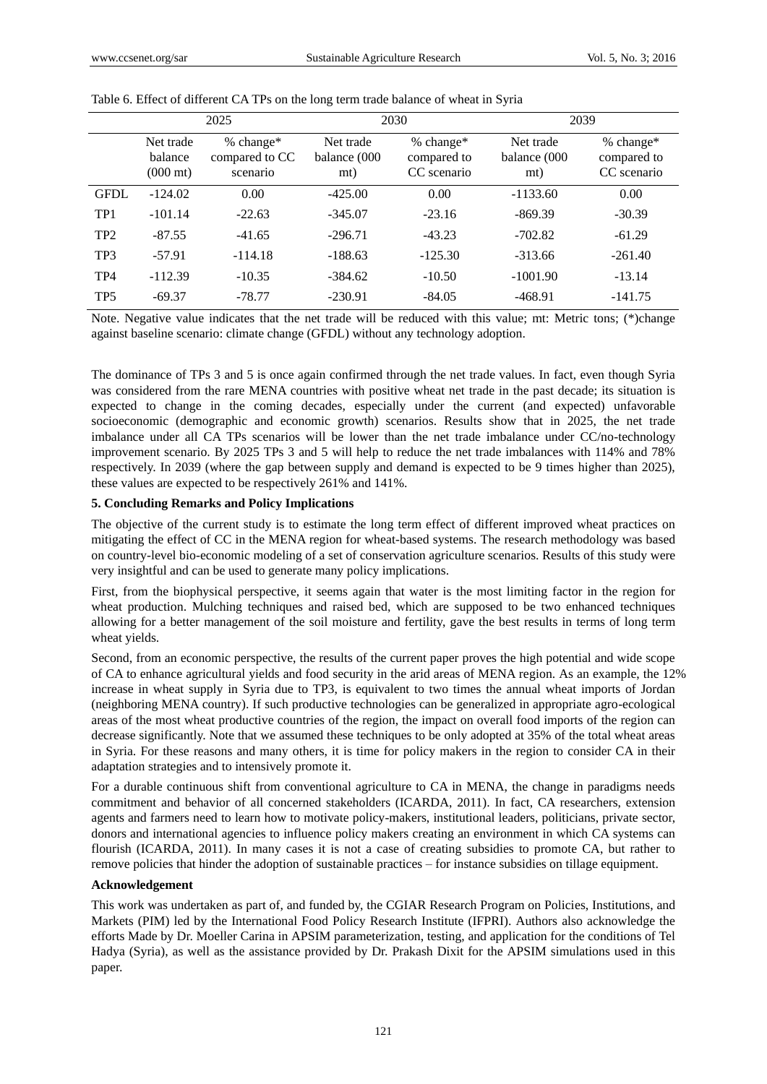|                 | 2025                                       |                                           |                                  | 2030                                      | 2039                             |                                           |  |
|-----------------|--------------------------------------------|-------------------------------------------|----------------------------------|-------------------------------------------|----------------------------------|-------------------------------------------|--|
|                 | Net trade<br>balance<br>$(000 \text{ mt})$ | $% change*$<br>compared to CC<br>scenario | Net trade<br>balance (000<br>mt) | $% change*$<br>compared to<br>CC scenario | Net trade<br>balance (000<br>mt) | $% change*$<br>compared to<br>CC scenario |  |
| <b>GFDL</b>     | $-124.02$                                  | 0.00                                      | $-425.00$                        | 0.00                                      | $-1133.60$                       | 0.00                                      |  |
| TP1             | $-101.14$                                  | $-22.63$                                  | $-345.07$                        | $-23.16$                                  | $-869.39$                        | $-30.39$                                  |  |
| TP <sub>2</sub> | $-87.55$                                   | $-41.65$                                  | $-296.71$                        | $-43.23$                                  | $-702.82$                        | $-61.29$                                  |  |
| TP3             | $-57.91$                                   | $-114.18$                                 | $-188.63$                        | $-125.30$                                 | $-313.66$                        | $-261.40$                                 |  |
| TP <sub>4</sub> | $-112.39$                                  | $-10.35$                                  | $-384.62$                        | $-10.50$                                  | $-1001.90$                       | $-13.14$                                  |  |
| TP <sub>5</sub> | $-69.37$                                   | $-78.77$                                  | $-230.91$                        | $-84.05$                                  | $-468.91$                        | $-141.75$                                 |  |

Table 6. Effect of different CA TPs on the long term trade balance of wheat in Syria

Note. Negative value indicates that the net trade will be reduced with this value; mt: Metric tons; (\*)change against baseline scenario: climate change (GFDL) without any technology adoption.

The dominance of TPs 3 and 5 is once again confirmed through the net trade values. In fact, even though Syria was considered from the rare MENA countries with positive wheat net trade in the past decade; its situation is expected to change in the coming decades, especially under the current (and expected) unfavorable socioeconomic (demographic and economic growth) scenarios. Results show that in 2025, the net trade imbalance under all CA TPs scenarios will be lower than the net trade imbalance under CC/no-technology improvement scenario. By 2025 TPs 3 and 5 will help to reduce the net trade imbalances with 114% and 78% respectively. In 2039 (where the gap between supply and demand is expected to be 9 times higher than 2025), these values are expected to be respectively 261% and 141%.

### **5. Concluding Remarks and Policy Implications**

The objective of the current study is to estimate the long term effect of different improved wheat practices on mitigating the effect of CC in the MENA region for wheat-based systems. The research methodology was based on country-level bio-economic modeling of a set of conservation agriculture scenarios. Results of this study were very insightful and can be used to generate many policy implications.

First, from the biophysical perspective, it seems again that water is the most limiting factor in the region for wheat production. Mulching techniques and raised bed, which are supposed to be two enhanced techniques allowing for a better management of the soil moisture and fertility, gave the best results in terms of long term wheat yields.

Second, from an economic perspective, the results of the current paper proves the high potential and wide scope of CA to enhance agricultural yields and food security in the arid areas of MENA region. As an example, the 12% increase in wheat supply in Syria due to TP3, is equivalent to two times the annual wheat imports of Jordan (neighboring MENA country). If such productive technologies can be generalized in appropriate agro-ecological areas of the most wheat productive countries of the region, the impact on overall food imports of the region can decrease significantly. Note that we assumed these techniques to be only adopted at 35% of the total wheat areas in Syria. For these reasons and many others, it is time for policy makers in the region to consider CA in their adaptation strategies and to intensively promote it.

For a durable continuous shift from conventional agriculture to CA in MENA, the change in paradigms needs commitment and behavior of all concerned stakeholders (ICARDA, 2011). In fact, CA researchers, extension agents and farmers need to learn how to motivate policy-makers, institutional leaders, politicians, private sector, donors and international agencies to influence policy makers creating an environment in which CA systems can flourish (ICARDA, 2011). In many cases it is not a case of creating subsidies to promote CA, but rather to remove policies that hinder the adoption of sustainable practices – for instance subsidies on tillage equipment.

## **Acknowledgement**

This work was undertaken as part of, and funded by, the CGIAR Research Program on Policies, Institutions, and Markets (PIM) led by the International Food Policy Research Institute (IFPRI). Authors also acknowledge the efforts Made by Dr. Moeller Carina in APSIM parameterization, testing, and application for the conditions of Tel Hadya (Syria), as well as the assistance provided by Dr. Prakash Dixit for the APSIM simulations used in this paper.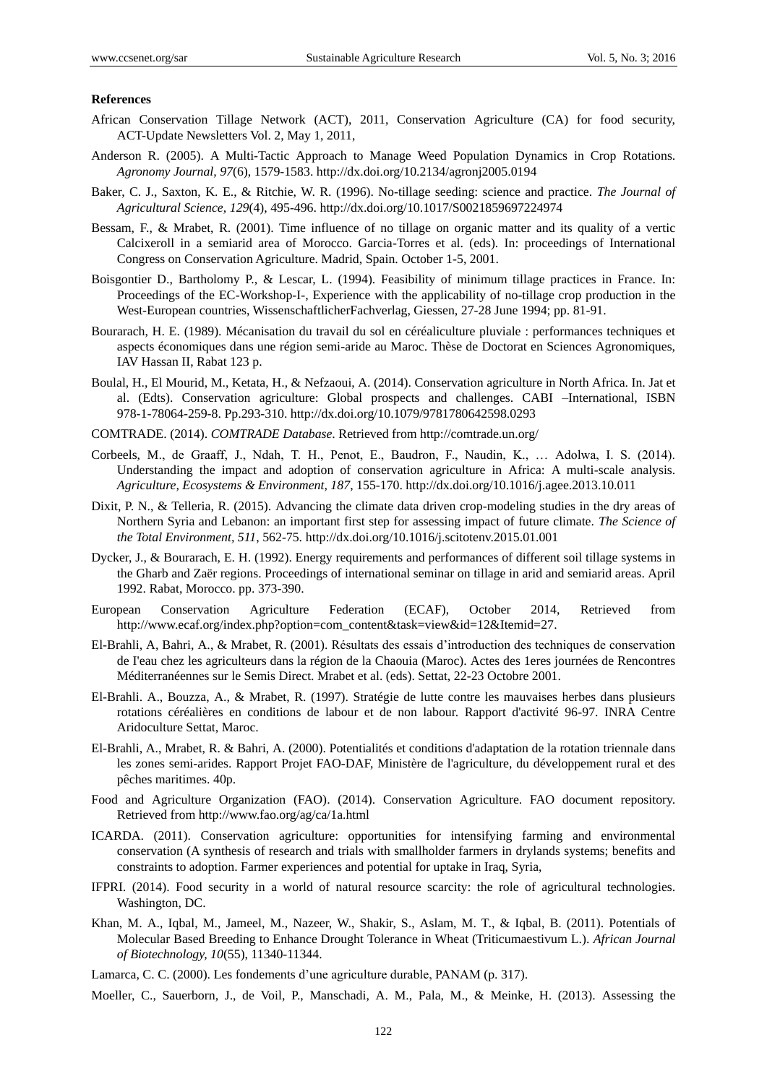#### **References**

- African Conservation Tillage Network (ACT), 2011, Conservation Agriculture (CA) for food security, ACT-Update Newsletters Vol. 2, May 1, 2011,
- Anderson R. (2005). A Multi-Tactic Approach to Manage Weed Population Dynamics in Crop Rotations. *Agronomy Journal, 97*(6), 1579-1583.<http://dx.doi.org/10.2134/agronj2005.0194>
- Baker, C. J., Saxton, K. E., & Ritchie, W. R. (1996). No-tillage seeding: science and practice. *The Journal of Agricultural Science, 129*(4), 495-496.<http://dx.doi.org/10.1017/S0021859697224974>
- Bessam, F., & Mrabet, R. (2001). Time influence of no tillage on organic matter and its quality of a vertic Calcixeroll in a semiarid area of Morocco. Garcia-Torres et al. (eds). In: proceedings of International Congress on Conservation Agriculture. Madrid, Spain. October 1-5, 2001.
- Boisgontier D., Bartholomy P., & Lescar, L. (1994). Feasibility of minimum tillage practices in France. In: Proceedings of the EC-Workshop-I-, Experience with the applicability of no-tillage crop production in the West-European countries, WissenschaftlicherFachverlag, Giessen, 27-28 June 1994; pp. 81-91.
- Bourarach, H. E. (1989). Mécanisation du travail du sol en céréaliculture pluviale : performances techniques et aspects économiques dans une région semi-aride au Maroc. Thèse de Doctorat en Sciences Agronomiques, IAV Hassan II, Rabat 123 p.
- Boulal, H., El Mourid, M., Ketata, H., & Nefzaoui, A. (2014). Conservation agriculture in North Africa. In. Jat et al. (Edts). Conservation agriculture: Global prospects and challenges. CABI –International, ISBN 978-1-78064-259-8. Pp.293-310[. http://dx.doi.org/10.1079/9781780642598.0293](http://dx.doi.org/10.1079/9781780642598.0293)
- COMTRADE. (2014). *COMTRADE Database*. Retrieved from<http://comtrade.un.org/>
- Corbeels, M., de Graaff, J., Ndah, T. H., Penot, E., Baudron, F., Naudin, K., … Adolwa, I. S. (2014). Understanding the impact and adoption of conservation agriculture in Africa: A multi-scale analysis. *Agriculture, Ecosystems & Environment, 187*, 155-170. http://dx.doi.org/10.1016/j.agee.2013.10.011
- Dixit, P. N., & Telleria, R. (2015). Advancing the climate data driven crop-modeling studies in the dry areas of Northern Syria and Lebanon: an important first step for assessing impact of future climate. *The Science of the Total Environment, 511*, 562-75. http://dx.doi.org/10.1016/j.scitotenv.2015.01.001
- Dycker, J., & Bourarach, E. H. (1992). Energy requirements and performances of different soil tillage systems in the Gharb and Zaër regions. Proceedings of international seminar on tillage in arid and semiarid areas. April 1992. Rabat, Morocco. pp. 373-390.
- European Conservation Agriculture Federation (ECAF), October 2014, Retrieved from [http://www.ecaf.org/index.php?option=com\\_content&task=view&id=12&Itemid=27.](http://www.ecaf.org/index.php?option=com_content&task=view&id=12&Itemid=27)
- El-Brahli, A, Bahri, A., & Mrabet, R. (2001). Résultats des essais d"introduction des techniques de conservation de I'eau chez les agriculteurs dans la région de la Chaouia (Maroc). Actes des 1eres journées de Rencontres Méditerranéennes sur le Semis Direct. Mrabet et al. (eds). Settat, 22-23 Octobre 2001.
- El-Brahli. A., Bouzza, A., & Mrabet, R. (1997). Stratégie de lutte contre les mauvaises herbes dans plusieurs rotations céréalières en conditions de labour et de non labour. Rapport d'activité 96-97. INRA Centre Aridoculture Settat, Maroc.
- El-Brahli, A., Mrabet, R. & Bahri, A. (2000). Potentialités et conditions d'adaptation de la rotation triennale dans les zones semi-arides. Rapport Projet FAO-DAF, Ministère de l'agriculture, du développement rural et des pêches maritimes. 40p.
- Food and Agriculture Organization (FAO). (2014). Conservation Agriculture. FAO document repository. Retrieved from <http://www.fao.org/ag/ca/1a.html>
- ICARDA. (2011). Conservation agriculture: opportunities for intensifying farming and environmental conservation (A synthesis of research and trials with smallholder farmers in drylands systems; benefits and constraints to adoption. Farmer experiences and potential for uptake in Iraq, Syria,
- IFPRI. (2014). Food security in a world of natural resource scarcity: the role of agricultural technologies. Washington, DC.
- Khan, M. A., Iqbal, M., Jameel, M., Nazeer, W., Shakir, S., Aslam, M. T., & Iqbal, B. (2011). Potentials of Molecular Based Breeding to Enhance Drought Tolerance in Wheat (Triticumaestivum L.). *African Journal of Biotechnology, 10*(55), 11340-11344.
- Lamarca, C. C. (2000). Les fondements d"une agriculture durable, PANAM (p. 317).
- Moeller, C., Sauerborn, J., de Voil, P., Manschadi, A. M., Pala, M., & Meinke, H. (2013). Assessing the